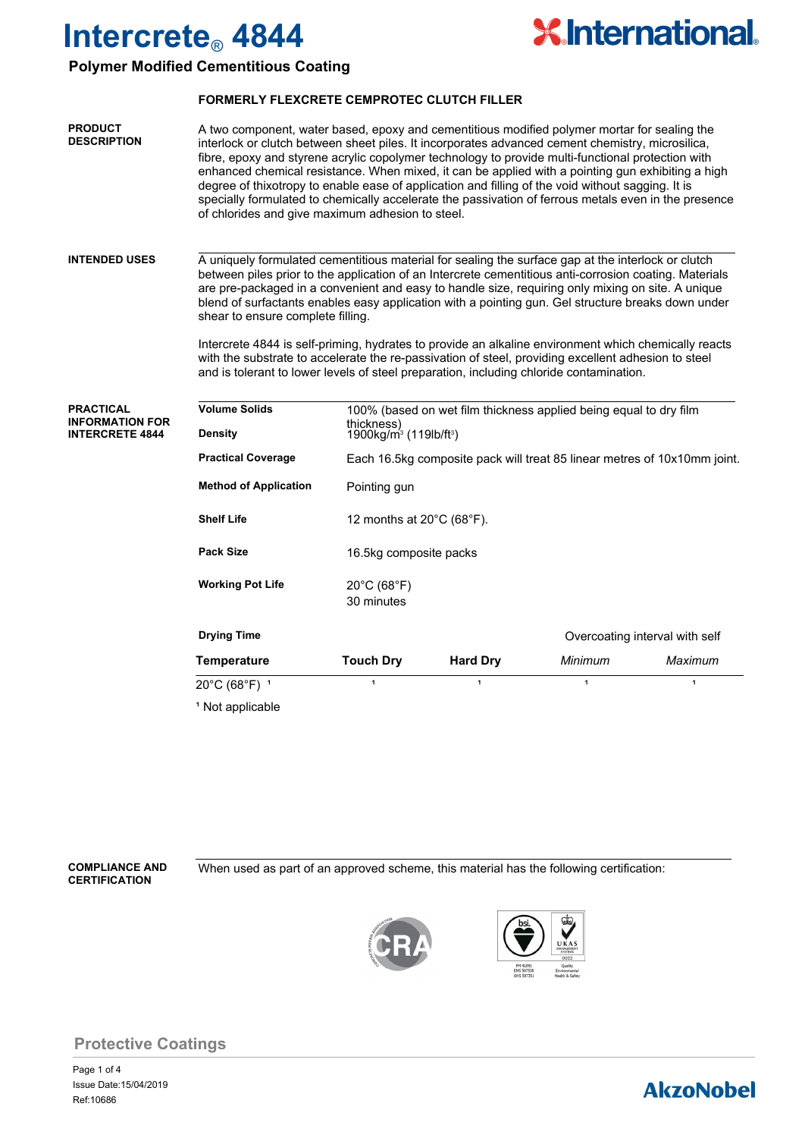

### **Polymer Modified Cementitious Coating**

#### **FORMERLY FLEXCRETE CEMPROTEC CLUTCH FILLER**

| <b>PRODUCT</b><br><b>DESCRIPTION</b> | A two component, water based, epoxy and cementitious modified polymer mortar for sealing the<br>interlock or clutch between sheet piles. It incorporates advanced cement chemistry, microsilica,<br>fibre, epoxy and styrene acrylic copolymer technology to provide multi-functional protection with<br>enhanced chemical resistance. When mixed, it can be applied with a pointing gun exhibiting a high<br>degree of thixotropy to enable ease of application and filling of the void without sagging. It is<br>specially formulated to chemically accelerate the passivation of ferrous metals even in the presence |
|--------------------------------------|-------------------------------------------------------------------------------------------------------------------------------------------------------------------------------------------------------------------------------------------------------------------------------------------------------------------------------------------------------------------------------------------------------------------------------------------------------------------------------------------------------------------------------------------------------------------------------------------------------------------------|
|                                      | of chlorides and give maximum adhesion to steel.                                                                                                                                                                                                                                                                                                                                                                                                                                                                                                                                                                        |

#### A uniquely formulated cementitious material for sealing the surface gap at the interlock or clutch between piles prior to the application of an Intercrete cementitious anti-corrosion coating. Materials are pre-packaged in a convenient and easy to handle size, requiring only mixing on site. A unique blend of surfactants enables easy application with a pointing gun. Gel structure breaks down under shear to ensure complete filling. **INTENDED USES**

Intercrete 4844 is self-priming, hydrates to provide an alkaline environment which chemically reacts with the substrate to accelerate the re-passivation of steel, providing excellent adhesion to steel and is tolerant to lower levels of steel preparation, including chloride contamination.

| <b>PRACTICAL</b><br><b>INFORMATION FOR</b> | <b>Volume Solids</b>                        | 100% (based on wet film thickness applied being equal to dry film        |                 |         |              |  |
|--------------------------------------------|---------------------------------------------|--------------------------------------------------------------------------|-----------------|---------|--------------|--|
| <b>INTERCRETE 4844</b>                     | <b>Density</b>                              | thickness)<br>1900kg/m <sup>3</sup> (119lb/ft <sup>3</sup> )             |                 |         |              |  |
|                                            | <b>Practical Coverage</b>                   | Each 16.5kg composite pack will treat 85 linear metres of 10x10mm joint. |                 |         |              |  |
|                                            | <b>Method of Application</b>                | Pointing gun                                                             |                 |         |              |  |
|                                            | <b>Shelf Life</b>                           | 12 months at $20^{\circ}$ C (68 $^{\circ}$ F).                           |                 |         |              |  |
|                                            | <b>Pack Size</b>                            | 16.5kg composite packs                                                   |                 |         |              |  |
|                                            | <b>Working Pot Life</b>                     | $20^{\circ}$ C (68 $^{\circ}$ F)<br>30 minutes                           |                 |         |              |  |
|                                            | <b>Drying Time</b>                          | Overcoating interval with self                                           |                 |         |              |  |
|                                            | Temperature                                 | <b>Touch Dry</b>                                                         | <b>Hard Dry</b> | Minimum | Maximum      |  |
|                                            | $20^{\circ}$ C (68 $^{\circ}$ F) $^{\circ}$ | 1                                                                        | 1               | 1       | $\mathbf{1}$ |  |
|                                            | <sup>1</sup> Not applicable                 |                                                                          |                 |         |              |  |

**CERTIFICATION**

**COMPLIANCE AND** When used as part of an approved scheme, this material has the following certification:





### **Protective Coatings**

Page 1 of 4 Ref:10686 Issue Date:15/04/2019

## **AkzoNobel**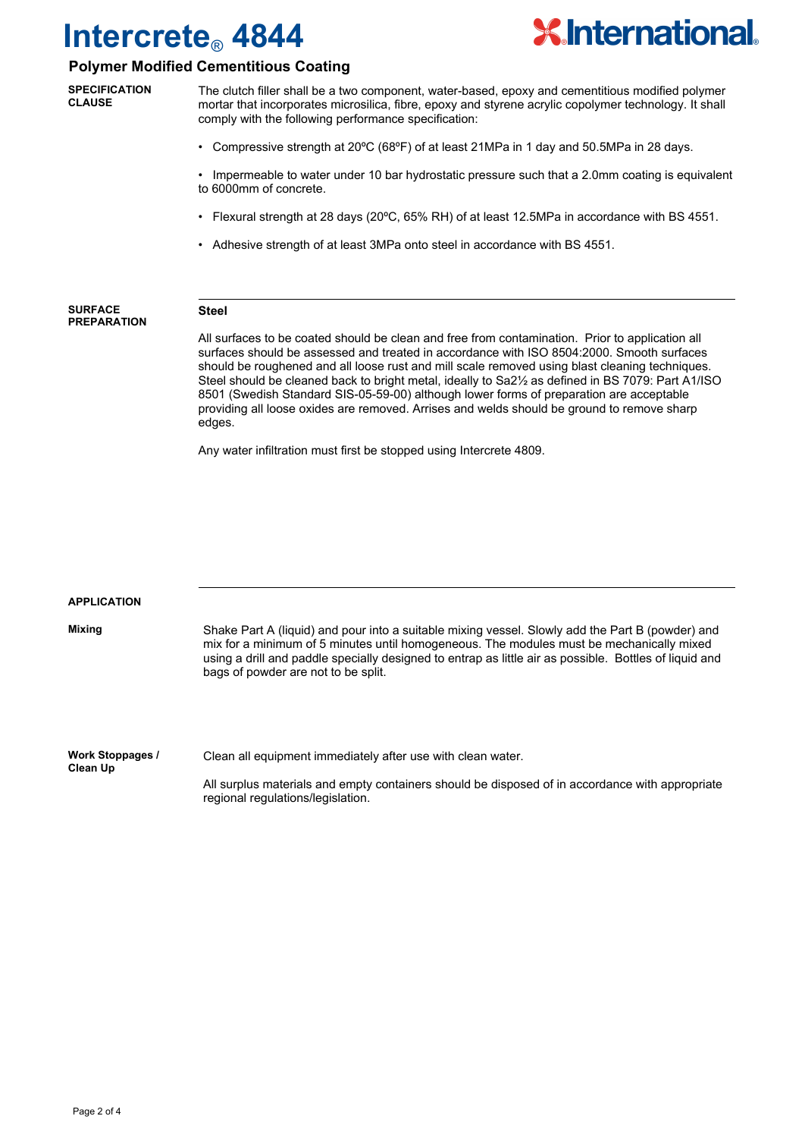

## **Polymer Modified Cementitious Coating**

The clutch filler shall be a two component, water-based, epoxy and cementitious modified polymer mortar that incorporates microsilica, fibre, epoxy and styrene acrylic copolymer technology. It shall comply with the following performance specification: • Compressive strength at 20ºC (68ºF) of at least 21MPa in 1 day and 50.5MPa in 28 days. • Impermeable to water under 10 bar hydrostatic pressure such that a 2.0mm coating is equivalent to 6000mm of concrete. • Flexural strength at 28 days (20ºC, 65% RH) of at least 12.5MPa in accordance with BS 4551. • Adhesive strength of at least 3MPa onto steel in accordance with BS 4551. **SPECIFICATION CLAUSE Steel** All surfaces to be coated should be clean and free from contamination. Prior to application all surfaces should be assessed and treated in accordance with ISO 8504:2000. Smooth surfaces should be roughened and all loose rust and mill scale removed using blast cleaning techniques. Steel should be cleaned back to bright metal, ideally to Sa2½ as defined in BS 7079: Part A1/ISO 8501 (Swedish Standard SIS-05-59-00) although lower forms of preparation are acceptable providing all loose oxides are removed. Arrises and welds should be ground to remove sharp edges. Any water infiltration must first be stopped using Intercrete 4809. **SURFACE PREPARATION** Shake Part A (liquid) and pour into a suitable mixing vessel. Slowly add the Part B (powder) and mix for a minimum of 5 minutes until homogeneous. The modules must be mechanically mixed using a drill and paddle specially designed to entrap as little air as possible. Bottles of liquid and bags of powder are not to be split. **APPLICATION Mixing Work Stoppages / Clean Up** Clean all equipment immediately after use with clean water. All surplus materials and empty containers should be disposed of in accordance with appropriate regional regulations/legislation.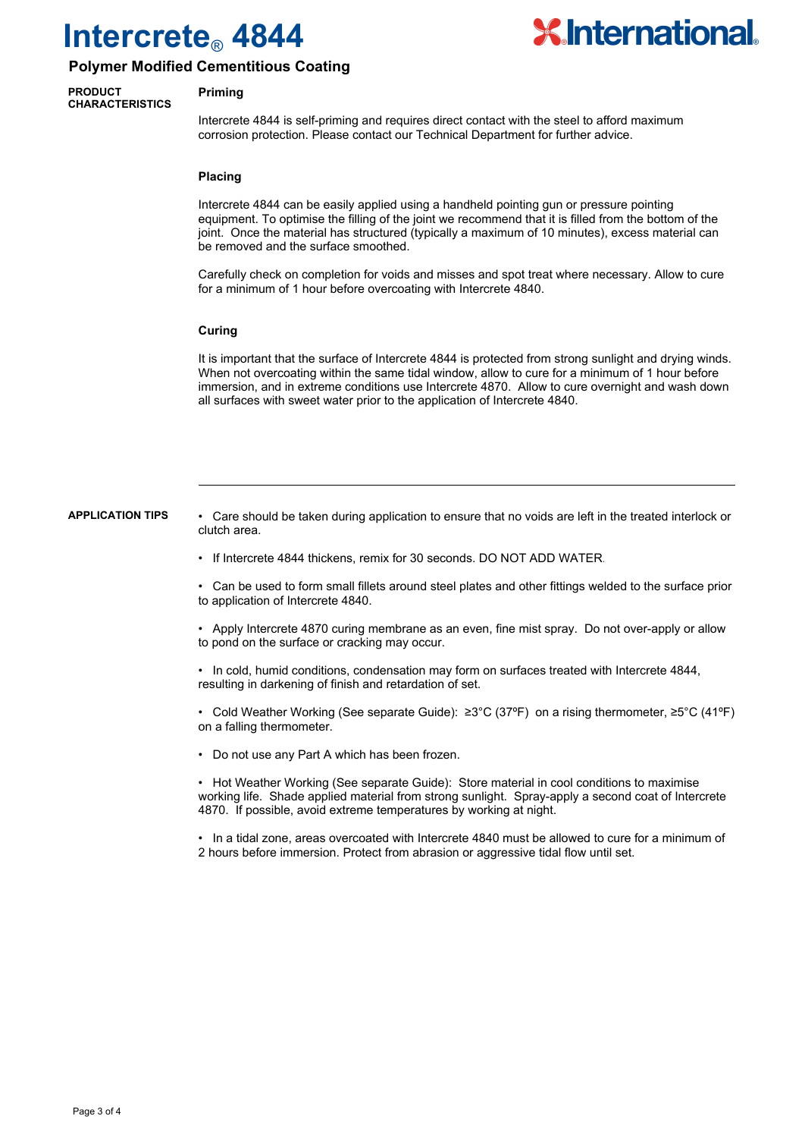

### **Polymer Modified Cementitious Coating**

#### **PRODUCT CHARACTERISTICS**

#### **Priming**

Intercrete 4844 is self-priming and requires direct contact with the steel to afford maximum corrosion protection. Please contact our Technical Department for further advice.

#### **Placing**

Intercrete 4844 can be easily applied using a handheld pointing gun or pressure pointing equipment. To optimise the filling of the joint we recommend that it is filled from the bottom of the joint. Once the material has structured (typically a maximum of 10 minutes), excess material can be removed and the surface smoothed.

Carefully check on completion for voids and misses and spot treat where necessary. Allow to cure for a minimum of 1 hour before overcoating with Intercrete 4840.

#### **Curing**

It is important that the surface of Intercrete 4844 is protected from strong sunlight and drying winds. When not overcoating within the same tidal window, allow to cure for a minimum of 1 hour before immersion, and in extreme conditions use Intercrete 4870. Allow to cure overnight and wash down all surfaces with sweet water prior to the application of Intercrete 4840.

#### **APPLICATION TIPS**

• Care should be taken during application to ensure that no voids are left in the treated interlock or clutch area.

• If Intercrete 4844 thickens, remix for 30 seconds. DO NOT ADD WATER.

• Can be used to form small fillets around steel plates and other fittings welded to the surface prior to application of Intercrete 4840.

• Apply Intercrete 4870 curing membrane as an even, fine mist spray. Do not over-apply or allow to pond on the surface or cracking may occur.

• In cold, humid conditions, condensation may form on surfaces treated with Intercrete 4844, resulting in darkening of finish and retardation of set.

• Cold Weather Working (See separate Guide): ≥3°C (37ºF) on a rising thermometer, ≥5°C (41ºF) on a falling thermometer.

• Do not use any Part A which has been frozen.

• Hot Weather Working (See separate Guide): Store material in cool conditions to maximise working life. Shade applied material from strong sunlight. Spray-apply a second coat of Intercrete 4870. If possible, avoid extreme temperatures by working at night.

• In a tidal zone, areas overcoated with Intercrete 4840 must be allowed to cure for a minimum of 2 hours before immersion. Protect from abrasion or aggressive tidal flow until set.